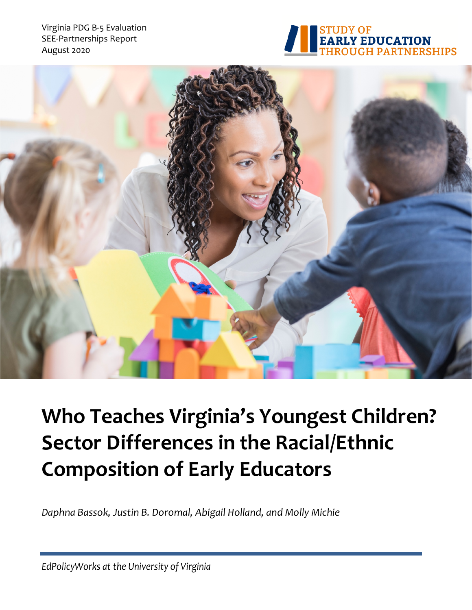Virginia PDG B-5 Evaluation SEE-Partnerships Report August 2020





# **Who Teaches Virginia's Youngest Children? Sector Differences in the Racial/Ethnic Composition of Early Educators**

*Daphna Bassok, Justin B. Doromal, Abigail Holland, and Molly Michie*

*EdPolicyWorks at the University of Virginia*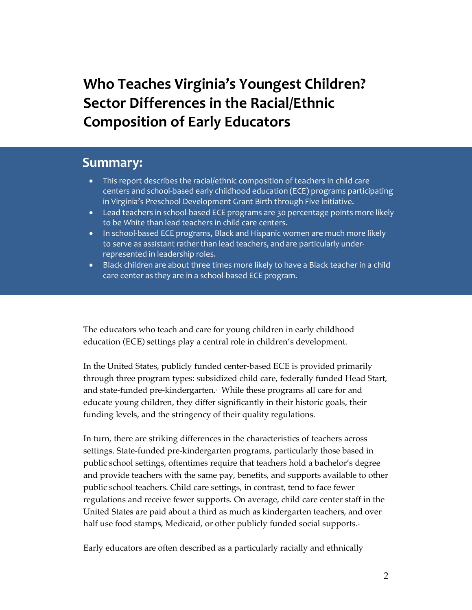# **Who Teaches Virginia's Youngest Children? Sector Differences in the Racial/Ethnic Composition of Early Educators**

### **Summary:**

- This report describes the racial/ethnic composition of teachers in child care centers and school-based early childhood education (ECE) programs participating in Virginia's Preschool Development Grant Birth through Five initiative.
- Lead teachers in school-based ECE programs are 30 percentage points more likely to be White than lead teachers in child care centers.
- In school-based ECE programs, Black and Hispanic women are much more likely to serve as assistant rather than lead teachers, and are particularly underrepresented in leadership roles.
- Black children are about three times more likely to have a Black teacher in a child care center as they are in a school-based ECE program.

The educators who teach and care for young children in early childhood education (ECE) settings play a central role in children's development.

In the United States, publicly funded center-based ECE is provided primarily through three program types: subsidized child care, federally funded Head Start, and state-funded pre-kindergarten.<sup>1</sup> While these programs all care for and educate young children, they differ significantly in their historic goals, their funding levels, and the stringency of their quality regulations.

In turn, there are striking differences in the characteristics of teachers across settings. State-funded pre-kindergarten programs, particularly those based in public school settings, oftentimes require that teachers hold a bachelor's degree and provide teachers with the same pay, benefits, and supports available to other public school teachers. Child care settings, in contrast, tend to face fewer regulations and receive fewer supports. On average, child care center staff in the United States are paid about a third as much as kindergarten teachers, and over half use food stamps, Medicaid, or other publicly funded social supports.<sup>2</sup>

Early educators are often described as a particularly racially and ethnically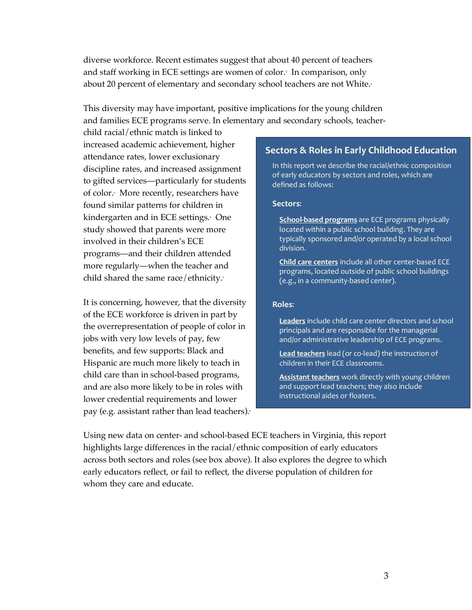diverse workforce. Recent estimates suggest that about 40 percent of teachers and staff working in ECE settings are women of color.<sup>3</sup> In comparison, only about 20 percent of elementary and secondary school teachers are not White.<sup>4</sup>

This diversity may have important, positive implications for the young children and families ECE programs serve. In elementary and secondary schools, teacher-

child racial/ethnic match is linked to increased academic achievement, higher attendance rates, lower exclusionary discipline rates, and increased assignment to gifted services—particularly for students of color.<sup>5</sup> More recently, researchers have found similar patterns for children in kindergarten and in ECE settings.<sup>6</sup> One study showed that parents were more involved in their children's ECE programs—and their children attended more regularly—when the teacher and child shared the same race/ethnicity. $\bar{z}$ 

It is concerning, however, that the diversity of the ECE workforce is driven in part by the overrepresentation of people of color in jobs with very low levels of pay, few benefits, and few supports: Black and Hispanic are much more likely to teach in child care than in school-based programs, and are also more likely to be in roles with lower credential requirements and lower pay (e.g. assistant rather than lead teachers). $\delta$ 

#### **Sectors & Roles in Early Childhood Education**

In this report we describe the racial/ethnic composition of early educators by sectors and roles, which are defined as follows:

#### **Sectors**:

**School-based programs** are ECE programs physically located within a public school building. They are typically sponsored and/or operated by a local school division.

**Child care centers** include all other center-based ECE programs, located outside of public school buildings (e.g., in a community-based center).

#### **Roles**:

**Leaders** include child care center directors and school principals and are responsible for the managerial and/or administrative leadership of ECE programs.

**Lead teachers** lead (or co-lead) the instruction of children in their ECE classrooms.

**Assistant teachers** work directly with young children and support lead teachers; they also include instructional aides or floaters.

Using new data on center- and school-based ECE teachers in Virginia, this report highlights large differences in the racial/ethnic composition of early educators across both sectors and roles (see box above). It also explores the degree to which early educators reflect, or fail to reflect, the diverse population of children for whom they care and educate.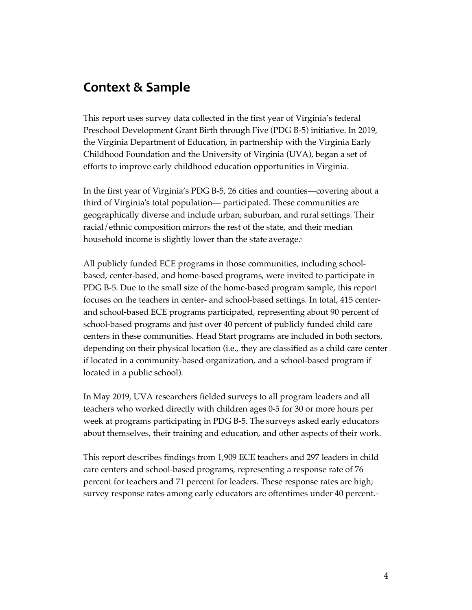## **Context & Sample**

This report uses survey data collected in the first year of Virginia's federal Preschool Development Grant Birth through Five (PDG B-5) initiative. In 2019, the Virginia Department of Education, in partnership with the Virginia Early Childhood Foundation and the University of Virginia (UVA), began a set of efforts to improve early childhood education opportunities in Virginia.

In the first year of Virginia's PDG B-5, 26 cities and counties—covering about a third of Virginia's total population— participated. These communities are geographically diverse and include urban, suburban, and rural settings. Their racial/ethnic composition mirrors the rest of the state, and their median household income is slightly lower than the state average.<sup>9</sup>

All publicly funded ECE programs in those communities, including schoolbased, center-based, and home-based programs, were invited to participate in PDG B-5. Due to the small size of the home-based program sample, this report focuses on the teachers in center- and school-based settings. In total, 415 centerand school-based ECE programs participated, representing about 90 percent of school-based programs and just over 40 percent of publicly funded child care centers in these communities. Head Start programs are included in both sectors, depending on their physical location (i.e., they are classified as a child care center if located in a community-based organization, and a school-based program if located in a public school).

In May 2019, UVA researchers fielded surveys to all program leaders and all teachers who worked directly with children ages 0-5 for 30 or more hours per week at programs participating in PDG B-5. The surveys asked early educators about themselves, their training and education, and other aspects of their work.

This report describes findings from 1,909 ECE teachers and 297 leaders in child care centers and school-based programs, representing a response rate of 76 percent for teachers and 71 percent for leaders. These response rates are high; survey response rates among early educators are oftentimes under 40 percent.<sup>10</sup>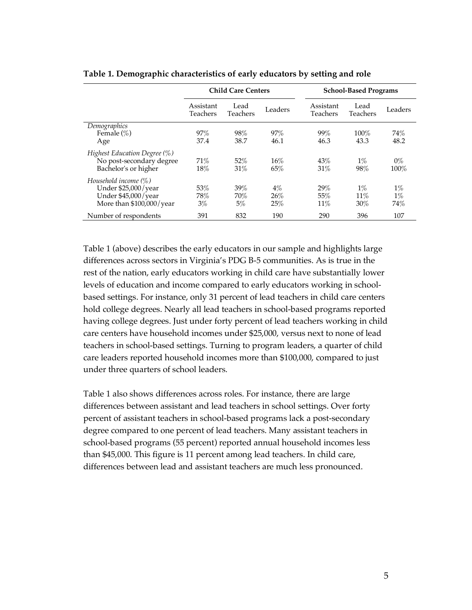|                                                                                                     | <b>Child Care Centers</b>    |                     |                     | <b>School-Based Programs</b> |                        |                       |
|-----------------------------------------------------------------------------------------------------|------------------------------|---------------------|---------------------|------------------------------|------------------------|-----------------------|
|                                                                                                     | Assistant<br><b>Teachers</b> | Lead<br>Teachers    | Leaders             | Assistant<br>Teachers        | Lead<br>Teachers       | Leaders               |
| Demographics<br>Female $(\%)$<br>Age                                                                | 97%<br>37.4                  | 98%<br>38.7         | 97%<br>46.1         | 99%<br>46.3                  | $100\%$<br>43.3        | 74%<br>48.2           |
| Highest Education Degree (%)<br>No post-secondary degree<br>Bachelor's or higher                    | 71%<br>18%                   | 52%<br>31%          | 16%<br>65%          | 43%<br>31%                   | $1\%$<br>98%           | $0\%$<br>100%         |
| Household income $(\%)$<br>Under $$25,000$ /year<br>Under \$45,000/year<br>More than \$100,000/year | 53%<br>78%<br>$3\%$          | 39%<br>70%<br>$5\%$ | $4\%$<br>26%<br>25% | 29%<br>55%<br>11%            | $1\%$<br>$11\%$<br>30% | $1\%$<br>$1\%$<br>74% |
| Number of respondents                                                                               | 391                          | 832                 | 190                 | 290                          | 396                    | 107                   |

**Table 1. Demographic characteristics of early educators by setting and role**

Table 1 (above) describes the early educators in our sample and highlights large differences across sectors in Virginia's PDG B-5 communities. As is true in the rest of the nation, early educators working in child care have substantially lower levels of education and income compared to early educators working in schoolbased settings. For instance, only 31 percent of lead teachers in child care centers hold college degrees. Nearly all lead teachers in school-based programs reported having college degrees. Just under forty percent of lead teachers working in child care centers have household incomes under \$25,000, versus next to none of lead teachers in school-based settings. Turning to program leaders, a quarter of child care leaders reported household incomes more than \$100,000, compared to just under three quarters of school leaders.

Table 1 also shows differences across roles. For instance, there are large differences between assistant and lead teachers in school settings. Over forty percent of assistant teachers in school-based programs lack a post-secondary degree compared to one percent of lead teachers. Many assistant teachers in school-based programs (55 percent) reported annual household incomes less than \$45,000. This figure is 11 percent among lead teachers. In child care, differences between lead and assistant teachers are much less pronounced.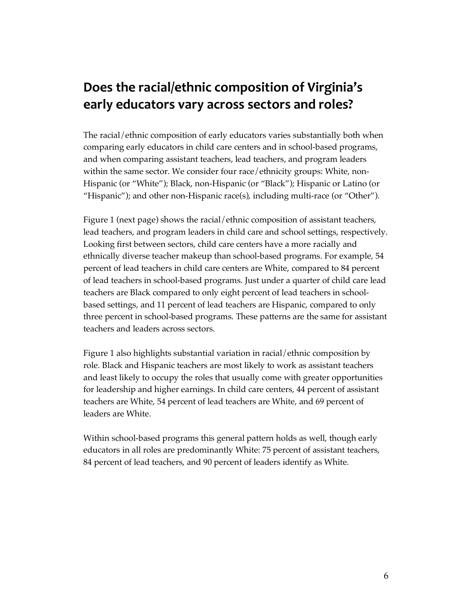# **Does the racial/ethnic composition of Virginia's early educators vary across sectors and roles?**

The racial/ethnic composition of early educators varies substantially both when comparing early educators in child care centers and in school-based programs, and when comparing assistant teachers, lead teachers, and program leaders within the same sector. We consider four race/ethnicity groups: White, non-Hispanic (or "White"); Black, non-Hispanic (or "Black"); Hispanic or Latino (or "Hispanic"); and other non-Hispanic race(s), including multi-race (or "Other").

Figure 1 (next page) shows the racial/ethnic composition of assistant teachers, lead teachers, and program leaders in child care and school settings, respectively. Looking first between sectors, child care centers have a more racially and ethnically diverse teacher makeup than school-based programs. For example, 54 percent of lead teachers in child care centers are White, compared to 84 percent of lead teachers in school-based programs. Just under a quarter of child care lead teachers are Black compared to only eight percent of lead teachers in schoolbased settings, and 11 percent of lead teachers are Hispanic, compared to only three percent in school-based programs. These patterns are the same for assistant teachers and leaders across sectors.

Figure 1 also highlights substantial variation in racial/ethnic composition by role. Black and Hispanic teachers are most likely to work as assistant teachers and least likely to occupy the roles that usually come with greater opportunities for leadership and higher earnings. In child care centers, 44 percent of assistant teachers are White, 54 percent of lead teachers are White, and 69 percent of leaders are White.

Within school-based programs this general pattern holds as well, though early educators in all roles are predominantly White: 75 percent of assistant teachers, 84 percent of lead teachers, and 90 percent of leaders identify as White.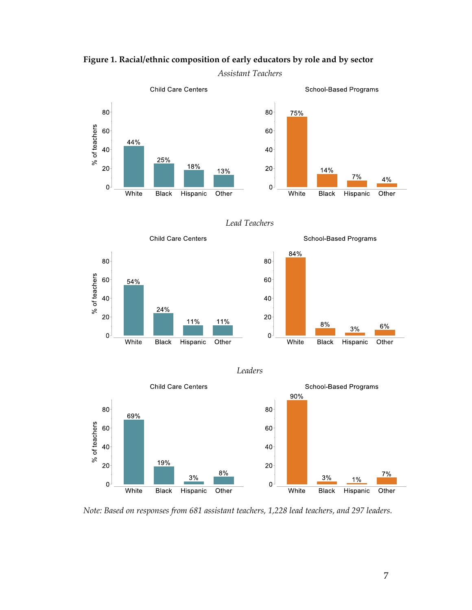Child Care Centers School-Based Programs 80 80 75% % of teachers 60 60 44% 40 40 25% 18% 20 20 14% 13%  $7%$ 4%  $\mathbf 0$  $\mathbf{0}$ White **Black** Hispanic Other White **Black** Hispanic Other

*Assistant Teachers*

**Figure 1. Racial/ethnic composition of early educators by role and by sector**







*Leaders*



*Note: Based on responses from 681 assistant teachers, 1,228 lead teachers, and 297 leaders.*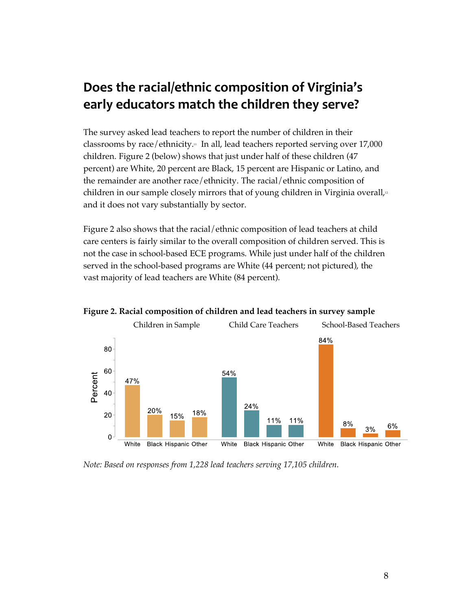# **Does the racial/ethnic composition of Virginia's early educators match the children they serve?**

The survey asked lead teachers to report the number of children in their classrooms by race/ethnicity.<sup>11</sup> In all, lead teachers reported serving over 17,000 children. Figure 2 (below) shows that just under half of these children (47 percent) are White, 20 percent are Black, 15 percent are Hispanic or Latino, and the remainder are another race/ethnicity. The racial/ethnic composition of children in our sample closely mirrors that of young children in Virginia overall, $\mu$ and it does not vary substantially by sector.

Figure 2 also shows that the racial/ethnic composition of lead teachers at child care centers is fairly similar to the overall composition of children served. This is not the case in school-based ECE programs. While just under half of the children served in the school-based programs are White (44 percent; not pictured), the vast majority of lead teachers are White (84 percent).



**Figure 2. Racial composition of children and lead teachers in survey sample**

*Note: Based on responses from 1,228 lead teachers serving 17,105 children.*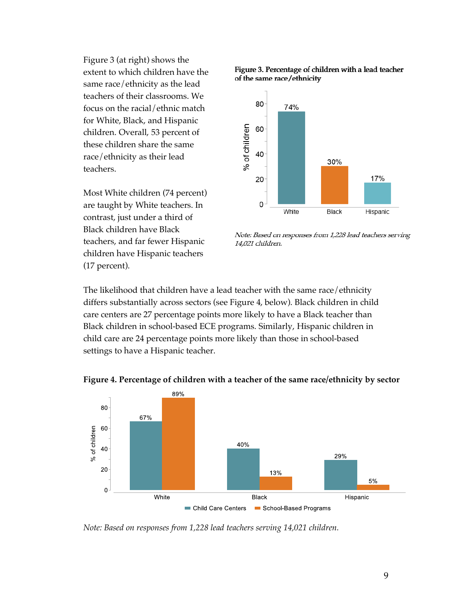Figure 3 (at right) shows the extent to which children have the same race/ethnicity as the lead teachers of their classrooms. We focus on the racial/ethnic match for White, Black, and Hispanic children. Overall, 53 percent of these children share the same race/ethnicity as their lead teachers.

Most White children (74 percent) are taught by White teachers. In contrast, just under a third of Black children have Black teachers, and far fewer Hispanic children have Hispanic teachers (17 percent).





Note: Based on responses from 1,228 lead teachers serving 14,021 children.

The likelihood that children have a lead teacher with the same race/ethnicity differs substantially across sectors (see Figure 4, below). Black children in child care centers are 27 percentage points more likely to have a Black teacher than Black children in school-based ECE programs. Similarly, Hispanic children in child care are 24 percentage points more likely than those in school-based settings to have a Hispanic teacher.



**Figure 4. Percentage of children with a teacher of the same race/ethnicity by sector**

*Note: Based on responses from 1,228 lead teachers serving 14,021 children.*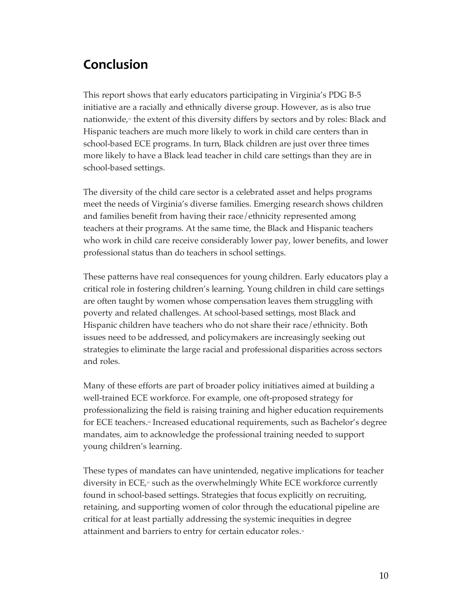# **Conclusion**

This report shows that early educators participating in Virginia's PDG B-5 initiative are a racially and ethnically diverse group. However, as is also true nationwide, $\beta$  the extent of this diversity differs by sectors and by roles: Black and Hispanic teachers are much more likely to work in child care centers than in school-based ECE programs. In turn, Black children are just over three times more likely to have a Black lead teacher in child care settings than they are in school-based settings.

The diversity of the child care sector is a celebrated asset and helps programs meet the needs of Virginia's diverse families. Emerging research shows children and families benefit from having their race/ethnicity represented among teachers at their programs. At the same time, the Black and Hispanic teachers who work in child care receive considerably lower pay, lower benefits, and lower professional status than do teachers in school settings.

These patterns have real consequences for young children. Early educators play a critical role in fostering children's learning. Young children in child care settings are often taught by women whose compensation leaves them struggling with poverty and related challenges. At school-based settings, most Black and Hispanic children have teachers who do not share their race/ethnicity. Both issues need to be addressed, and policymakers are increasingly seeking out strategies to eliminate the large racial and professional disparities across sectors and roles.

Many of these efforts are part of broader policy initiatives aimed at building a well-trained ECE workforce. For example, one oft-proposed strategy for professionalizing the field is raising training and higher education requirements for ECE teachers.14 Increased educational requirements, such as Bachelor's degree mandates, aim to acknowledge the professional training needed to support young children's learning.

These types of mandates can have unintended, negative implications for teacher diversity in ECE,<sup>15</sup> such as the overwhelmingly White ECE workforce currently found in school-based settings. Strategies that focus explicitly on recruiting, retaining, and supporting women of color through the educational pipeline are critical for at least partially addressing the systemic inequities in degree attainment and barriers to entry for certain educator roles.<sup>16</sup>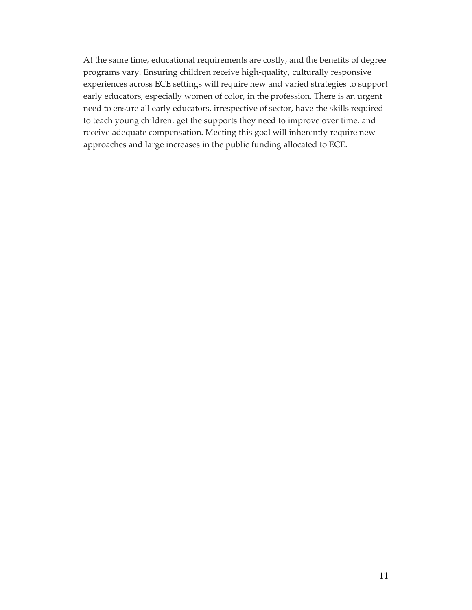At the same time, educational requirements are costly, and the benefits of degree programs vary. Ensuring children receive high-quality, culturally responsive experiences across ECE settings will require new and varied strategies to support early educators, especially women of color, in the profession. There is an urgent need to ensure all early educators, irrespective of sector, have the skills required to teach young children, get the supports they need to improve over time, and receive adequate compensation. Meeting this goal will inherently require new approaches and large increases in the public funding allocated to ECE.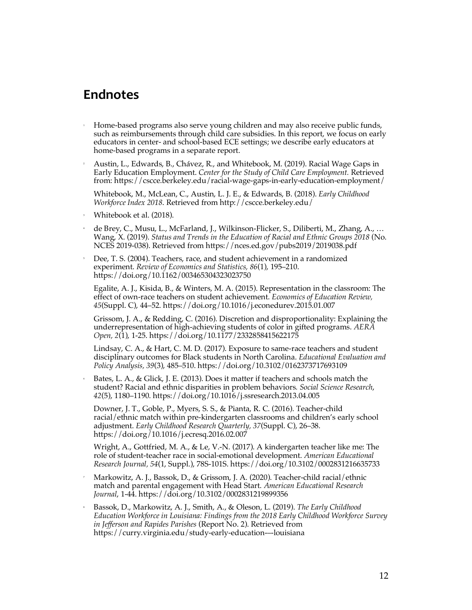## **Endnotes**

- <sup>1</sup> Home-based programs also serve young children and may also receive public funds, such as reimbursements through child care subsidies. In this report, we focus on early educators in center- and school-based ECE settings; we describe early educators at home-based programs in a separate report.
- <sup>2</sup> Austin, L., Edwards, B., Chávez, R., and Whitebook, M. (2019). Racial Wage Gaps in Early Education Employment. *Center for the Study of Child Care Employment.* Retrieved from: https://cscce.berkeley.edu/racial-wage-gaps-in-early-education-employment/

Whitebook, M., McLean, C., Austin, L. J. E., & Edwards, B. (2018). *Early Childhood Workforce Index 2018*. Retrieved from http://cscce.berkeley.edu/

- <sup>3</sup> Whitebook et al. (2018).
- de Brey, C., Musu, L., McFarland, J., Wilkinson-Flicker, S., Diliberti, M., Zhang, A., ... Wang, X. (2019). *Status and Trends in the Education of Racial and Ethnic Groups 2018* (No. NCES 2019-038). Retrieved from https://nces.ed.gov/pubs2019/2019038.pdf
- <sup>5</sup> Dee, T. S. (2004). Teachers, race, and student achievement in a randomized experiment. *Review of Economics and Statistics, 86*(1), 195–210. https://doi.org/10.1162/003465304323023750

Egalite, A. J., Kisida, B., & Winters, M. A. (2015). Representation in the classroom: The effect of own-race teachers on student achievement. *Economics of Education Review, 45*(Suppl. C), 44–52. https://doi.org/10.1016/j.econedurev.2015.01.007

Grissom, J. A., & Redding, C. (2016). Discretion and disproportionality: Explaining the underrepresentation of high-achieving students of color in gifted programs. *AERA Open, 2*(1), 1-25. https://doi.org/10.1177/2332858415622175

Lindsay, C. A., & Hart, C. M. D. (2017). Exposure to same-race teachers and student disciplinary outcomes for Black students in North Carolina. *Educational Evaluation and Policy Analysis, 39*(3), 485–510. https://doi.org/10.3102/0162373717693109

<sup>6</sup> Bates, L. A., & Glick, J. E. (2013). Does it matter if teachers and schools match the student? Racial and ethnic disparities in problem behaviors*. Social Science Research*, *42*(5), 1180–1190. https://doi.org/10.1016/j.ssresearch.2013.04.005

Downer, J. T., Goble, P., Myers, S. S., & Pianta, R. C. (2016). Teacher-child racial/ethnic match within pre-kindergarten classrooms and children's early school adjustment. *Early Childhood Research Quarterly, 37*(Suppl. C), 26–38. https://doi.org/10.1016/j.ecresq.2016.02.007

Wright, A., Gottfried, M. A., & Le, V.-N. (2017). A kindergarten teacher like me: The role of student-teacher race in social-emotional development. *American Educational Research Journal, 54*(1, Suppl.), 78S-101S. https://doi.org/10.3102/0002831216635733

- <sup>7</sup> Markowitz, A. J., Bassok, D., & Grissom, J. A. (2020). Teacher-child racial/ethnic match and parental engagement with Head Start. *American Educational Research Journal*, 1-44. https://doi.org/10.3102/0002831219899356
- <sup>8</sup> Bassok, D., Markowitz, A. J., Smith, A., & Oleson, L. (2019). *The Early Childhood Education Workforce in Louisiana: Findings from the 2018 Early Childhood Workforce Survey in Jefferson and Rapides Parishes* (Report No. 2). Retrieved from https://curry.virginia.edu/study-early-education-–-louisiana